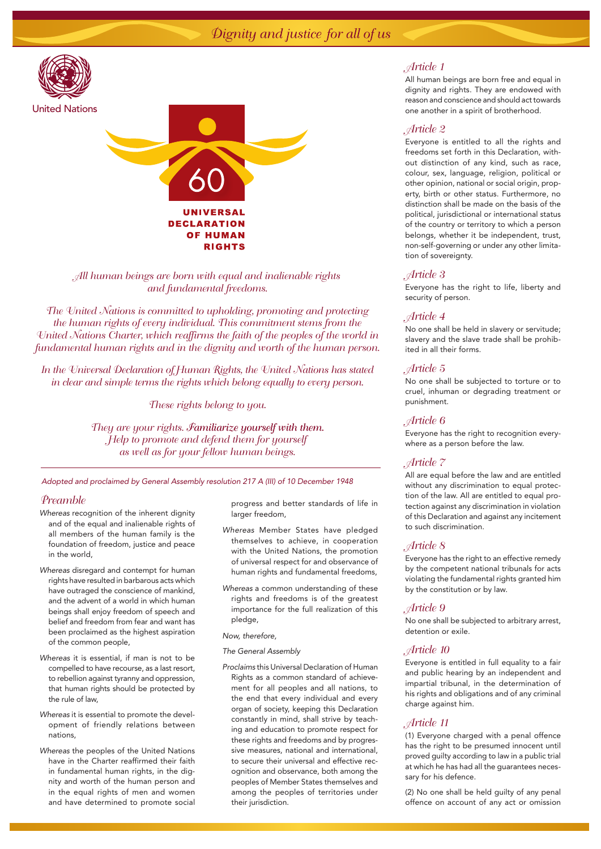# Dignity and justice for all of us



## *All human beings are born with equal and inalienable rights and fundamental freedoms.*

*The United Nations is committed to upholding, promoting and protecting the human rights of every individual. This commitment stems from the United Nations Charter, which reaffirms the faith of the peoples of the world in fundamental human rights and in the dignity and worth of the human person.*

*In the Universal Declaration of Human Rights, the United Nations has stated in clear and simple terms the rights which belong equally to every person.*

*These rights belong to you.*

They are your rights. *Familiarize yourself with them. Help to promote and defend them for yourself as well as for your fellow human beings.*

*Adopted and proclaimed by General Assembly resolution 217 A (III) of 10 December 1948*

## *Preamble*

- *Whereas* recognition of the inherent dignity and of the equal and inalienable rights of all members of the human family is the foundation of freedom, justice and peace in the world,
- *Whereas* disregard and contempt for human rights have resulted in barbarous acts which have outraged the conscience of mankind, and the advent of a world in which human beings shall enjoy freedom of speech and belief and freedom from fear and want has been proclaimed as the highest aspiration of the common people,
- *Whereas* it is essential, if man is not to be compelled to have recourse, as a last resort, to rebellion against tyranny and oppression, that human rights should be protected by the rule of law,
- *Whereas* it is essential to promote the development of friendly relations between nations,
- *Whereas* the peoples of the United Nations have in the Charter reaffirmed their faith in fundamental human rights, in the dignity and worth of the human person and in the equal rights of men and women and have determined to promote social

progress and better standards of life in larger freedom,

- *Whereas* Member States have pledged themselves to achieve, in cooperation with the United Nations, the promotion of universal respect for and observance of human rights and fundamental freedoms,
- *Whereas* a common understanding of these rights and freedoms is of the greatest importance for the full realization of this pledge,

#### *Now, therefore,*

# *The General Assembly*

*Proclaims* this Universal Declaration of Human Rights as a common standard of achievement for all peoples and all nations, to the end that every individual and every organ of society, keeping this Declaration constantly in mind, shall strive by teaching and education to promote respect for these rights and freedoms and by progressive measures, national and international, to secure their universal and effective recognition and observance, both among the peoples of Member States themselves and among the peoples of territories under their jurisdiction.

## *Article 1*

All human beings are born free and equal in dignity and rights. They are endowed with reason and conscience and should act towards one another in a spirit of brotherhood.

# *Article 2*

Everyone is entitled to all the rights and freedoms set forth in this Declaration, without distinction of any kind, such as race, colour, sex, language, religion, political or other opinion, national or social origin, property, birth or other status. Furthermore, no distinction shall be made on the basis of the political, jurisdictional or international status of the country or territory to which a person belongs, whether it be independent, trust, non-self-governing or under any other limitation of sovereignty.

## *Article 3*

Everyone has the right to life, liberty and security of person.

## *Article 4*

No one shall be held in slavery or servitude; slavery and the slave trade shall be prohibited in all their forms.

# *Article 5*

No one shall be subjected to torture or to cruel, inhuman or degrading treatment or punishment.

# *Article 6*

Everyone has the right to recognition everywhere as a person before the law.

## *Article 7*

All are equal before the law and are entitled without any discrimination to equal protection of the law. All are entitled to equal protection against any discrimination in violation of this Declaration and against any incitement to such discrimination.

## *Article 8*

Everyone has the right to an effective remedy by the competent national tribunals for acts violating the fundamental rights granted him by the constitution or by law.

## *Article 9*

No one shall be subjected to arbitrary arrest, detention or exile.

# *Article 10*

Everyone is entitled in full equality to a fair and public hearing by an independent and impartial tribunal, in the determination of his rights and obligations and of any criminal charge against him.

## *Article 11*

(1) Everyone charged with a penal offence has the right to be presumed innocent until proved guilty according to law in a public trial at which he has had all the guarantees necessary for his defence.

(2) No one shall be held guilty of any penal offence on account of any act or omission